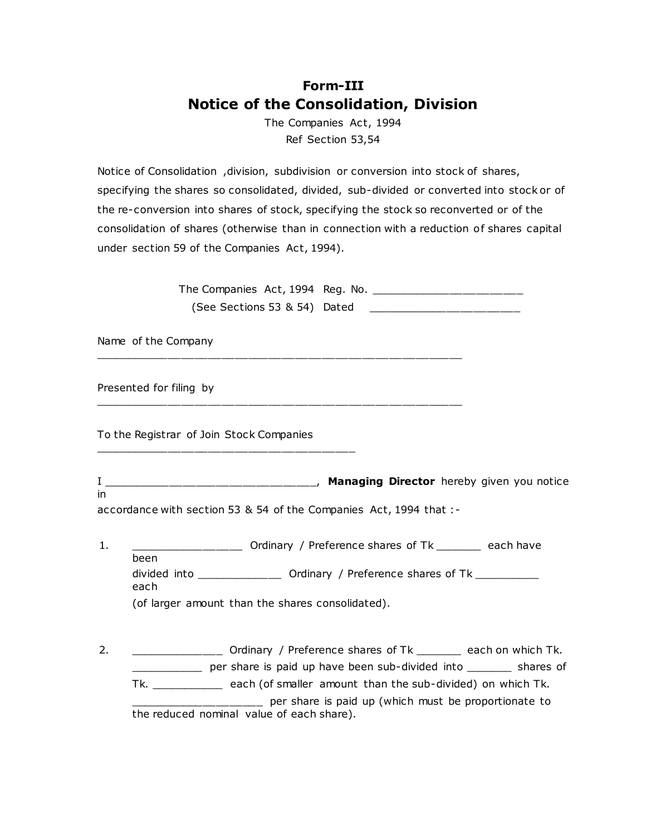## **[Form-III](http://169.254.100.1/Guidlines/Download/rf_form_iii.html) Notice of the Consolidation, Division**

The Companies Act, 1994 Ref Section 53,54

Notice of Consolidation ,division, subdivision or conversion into stock of shares, specifying the shares so consolidated, divided, sub-divided or converted into stock or of the re-conversion into shares of stock, specifying the stock so reconverted or of the consolidation of shares (otherwise than in connection with a reduction of shares capital under section 59 of the Companies Act, 1994).

> The Companies Act, 1994 Reg. No. \_\_\_\_\_\_\_\_\_\_\_\_\_\_\_\_\_\_\_\_\_\_\_ (See Sections 53 & 54) Dated \_\_\_\_\_\_\_\_\_\_\_\_\_\_\_\_\_\_\_\_\_\_\_

Name of the Company \_\_\_\_\_\_\_\_\_\_\_\_\_\_\_\_\_\_\_\_\_\_\_\_\_\_\_\_\_\_\_\_\_\_\_\_\_\_\_\_\_\_\_\_\_\_\_\_\_\_\_\_\_\_\_

\_\_\_\_\_\_\_\_\_\_\_\_\_\_\_\_\_\_\_\_\_\_\_\_\_\_\_\_\_\_\_\_\_\_\_\_\_\_\_\_\_\_\_\_\_\_\_\_\_\_\_\_\_\_\_

Presented for filing by

To the Registrar of Join Stock Companies

\_\_\_\_\_\_\_\_\_\_\_\_\_\_\_\_\_\_\_\_\_\_\_\_\_\_\_\_\_\_\_\_\_\_\_\_\_\_\_

I \_\_\_\_\_\_\_\_\_\_\_\_\_\_\_\_\_\_\_\_\_\_\_\_\_\_\_\_\_\_\_\_, **Managing Director** hereby given you notice in

accordance with section 53 & 54 of the Companies Act, 1994 that :-

- 1. \_\_\_\_\_\_\_\_\_\_\_\_\_\_\_\_\_\_\_\_\_\_\_ Ordinary / Preference shares of Tk \_\_\_\_\_\_\_\_\_ each have been divided into \_\_\_\_\_\_\_\_\_\_\_\_\_\_\_\_\_ Ordinary / Preference shares of Tk \_\_\_\_\_\_\_\_\_\_\_\_\_ each (of larger amount than the shares consolidated).
- 2. 2. **Example 2.** Ordinary / Preference shares of Tk and the each on which Tk. \_\_\_\_\_\_\_\_\_\_\_ per share is paid up have been sub-divided into \_\_\_\_\_\_\_ shares of Tk. \_\_\_\_\_\_\_\_\_\_\_ each (of smaller amount than the sub-divided) on which Tk. \_\_\_\_\_\_\_\_\_\_\_\_\_\_\_\_\_\_\_\_ per share is paid up (which must be proportionate to the reduced nominal value of each share).